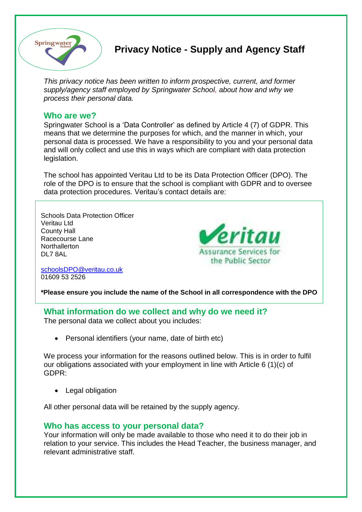

# **Privacy Notice - Supply and Agency Staff**

*This privacy notice has been written to inform prospective, current, and former supply/agency staff employed by Springwater School, about how and why we process their personal data.*

## **Who are we?**

Springwater School is a 'Data Controller' as defined by Article 4 (7) of GDPR. This means that we determine the purposes for which, and the manner in which, your personal data is processed. We have a responsibility to you and your personal data and will only collect and use this in ways which are compliant with data protection legislation.

The school has appointed Veritau Ltd to be its Data Protection Officer (DPO). The role of the DPO is to ensure that the school is compliant with GDPR and to oversee data protection procedures. Veritau's contact details are:

Schools Data Protection Officer Veritau Ltd County Hall Racecourse Lane **Northallerton** DL7 8AL



[schoolsDPO@veritau.co.uk](mailto:schoolsDPO@veritau.co.uk) 01609 53 2526

**\*Please ensure you include the name of the School in all correspondence with the DPO** 

**What information do we collect and why do we need it?**

The personal data we collect about you includes:

• Personal identifiers (your name, date of birth etc)

We process your information for the reasons outlined below. This is in order to fulfil our obligations associated with your employment in line with Article 6 (1)(c) of GDPR:

• Legal obligation

All other personal data will be retained by the supply agency.

# **Who has access to your personal data?**

Your information will only be made available to those who need it to do their job in relation to your service. This includes the Head Teacher, the business manager, and relevant administrative staff.